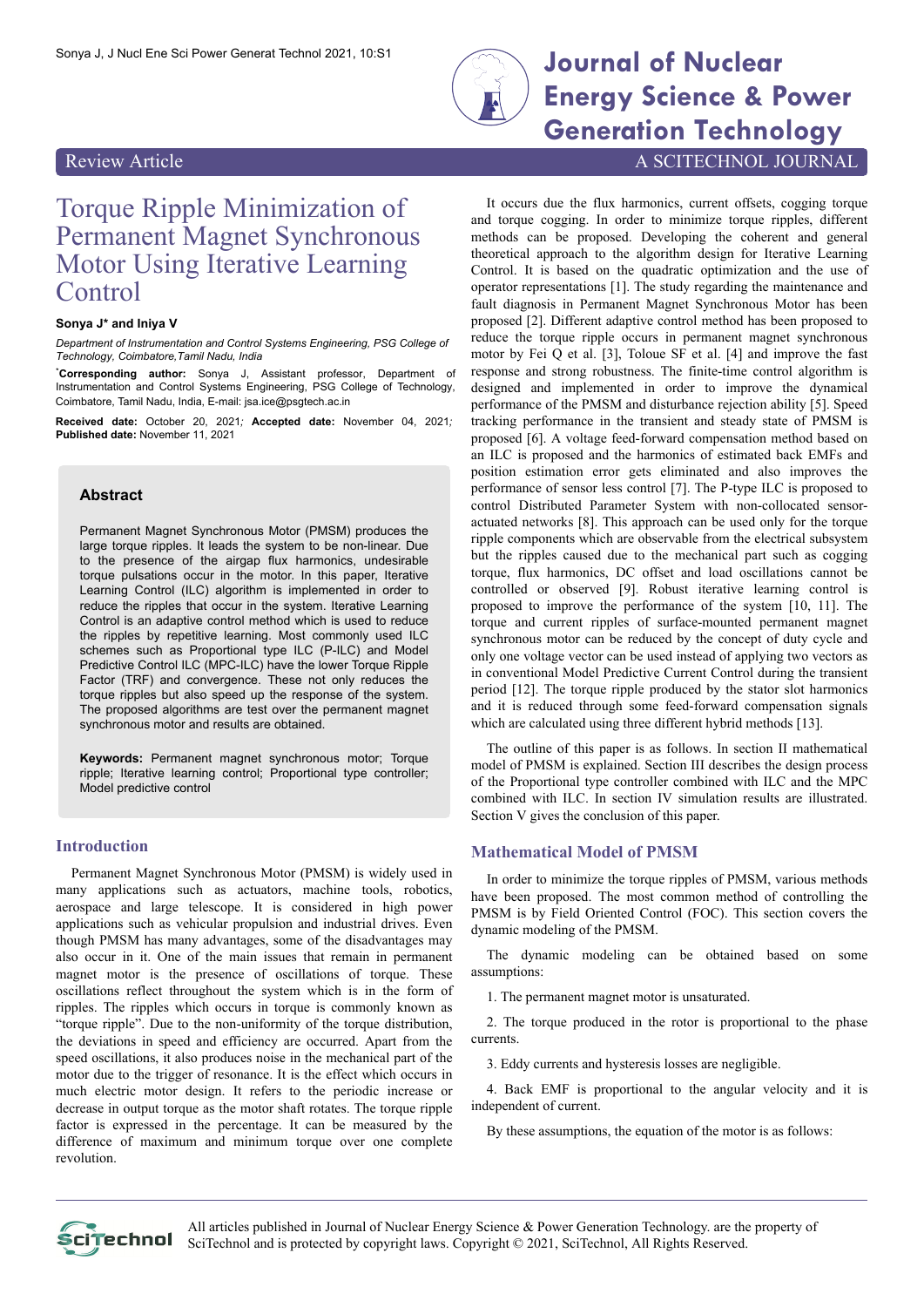

# Sonya J, J Nucl Ene Sci Power Generat Technol 2021, 10:S1 **Journal of Nuclear Energy Science & Power Generation Technology**

### Review Article A SCITECHNOL JOURNAL

## Torque Ripple Minimization of Permanent Magnet Synchronous Motor Using Iterative Learning Control

#### **Sonya J\* and Iniya V**

*Department of Instrumentation and Control Systems Engineering, PSG College of Technology, Coimbatore,Tamil Nadu, India*

\***Corresponding author:** Sonya J, Assistant professor, Department of Instrumentation and Control Systems Engineering, PSG College of Technology, Coimbatore, Tamil Nadu, India, E-mail: <jsa.ice@psgtech.ac.in>

**Received date:** October 20, 2021*;* **Accepted date:** November 04, 2021*;* **Published date:** November 11, 2021

#### **Abstract**

Permanent Magnet Synchronous Motor (PMSM) produces the large torque ripples. It leads the system to be non-linear. Due to the presence of the airgap flux harmonics, undesirable torque pulsations occur in the motor. In this paper, Iterative Learning Control (ILC) algorithm is implemented in order to reduce the ripples that occur in the system. Iterative Learning Control is an adaptive control method which is used to reduce the ripples by repetitive learning. Most commonly used ILC schemes such as Proportional type ILC (P-ILC) and Model Predictive Control ILC (MPC-ILC) have the lower Torque Ripple Factor (TRF) and convergence. These not only reduces the torque ripples but also speed up the response of the system. The proposed algorithms are test over the permanent magnet synchronous motor and results are obtained.

**Keywords:** Permanent magnet synchronous motor; Torque ripple; Iterative learning control; Proportional type controller; Model predictive control

#### **Introduction**

Permanent Magnet Synchronous Motor (PMSM) is widely used in many applications such as actuators, machine tools, robotics, aerospace and large telescope. It is considered in high power applications such as vehicular propulsion and industrial drives. Even though PMSM has many advantages, some of the disadvantages may also occur in it. One of the main issues that remain in permanent magnet motor is the presence of oscillations of torque. These oscillations reflect throughout the system which is in the form of ripples. The ripples which occurs in torque is commonly known as "torque ripple". Due to the non-uniformity of the torque distribution, the deviations in speed and efficiency are occurred. Apart from the speed oscillations, it also produces noise in the mechanical part of the motor due to the trigger of resonance. It is the effect which occurs in much electric motor design. It refers to the periodic increase or decrease in output torque as the motor shaft rotates. The torque ripple factor is expressed in the percentage. It can be measured by the difference of maximum and minimum torque over one complete revolution.

It occurs due the flux harmonics, current offsets, cogging torque and torque cogging. In order to minimize torque ripples, different methods can be proposed. Developing the coherent and general theoretical approach to the algorithm design for Iterative Learning Control. It is based on the quadratic optimization and the use of operator representations [1]. The study regarding the maintenance and fault diagnosis in Permanent Magnet Synchronous Motor has been proposed [2]. Different adaptive control method has been proposed to reduce the torque ripple occurs in permanent magnet synchronous motor by Fei Q et al. [3], Toloue SF et al. [4] and improve the fast response and strong robustness. The finite-time control algorithm is designed and implemented in order to improve the dynamical performance of the PMSM and disturbance rejection ability [5]. Speed tracking performance in the transient and steady state of PMSM is proposed [6]. A voltage feed-forward compensation method based on an ILC is proposed and the harmonics of estimated back EMFs and position estimation error gets eliminated and also improves the performance of sensor less control [7]. The P-type ILC is proposed to control Distributed Parameter System with non-collocated sensoractuated networks [8]. This approach can be used only for the torque ripple components which are observable from the electrical subsystem but the ripples caused due to the mechanical part such as cogging torque, flux harmonics, DC offset and load oscillations cannot be controlled or observed [9]. Robust iterative learning control is proposed to improve the performance of the system [10, 11]. The torque and current ripples of surface-mounted permanent magnet synchronous motor can be reduced by the concept of duty cycle and only one voltage vector can be used instead of applying two vectors as in conventional Model Predictive Current Control during the transient period [12]. The torque ripple produced by the stator slot harmonics and it is reduced through some feed-forward compensation signals which are calculated using three different hybrid methods [13].

The outline of this paper is as follows. In section II mathematical model of PMSM is explained. Section III describes the design process of the Proportional type controller combined with ILC and the MPC combined with ILC. In section IV simulation results are illustrated. Section V gives the conclusion of this paper.

#### **Mathematical Model of PMSM**

In order to minimize the torque ripples of PMSM, various methods have been proposed. The most common method of controlling the PMSM is by Field Oriented Control (FOC). This section covers the dynamic modeling of the PMSM.

The dynamic modeling can be obtained based on some assumptions:

1. The permanent magnet motor is unsaturated.

2. The torque produced in the rotor is proportional to the phase currents.

3. Eddy currents and hysteresis losses are negligible.

4. Back EMF is proportional to the angular velocity and it is independent of current.

By these assumptions, the equation of the motor is as follows:

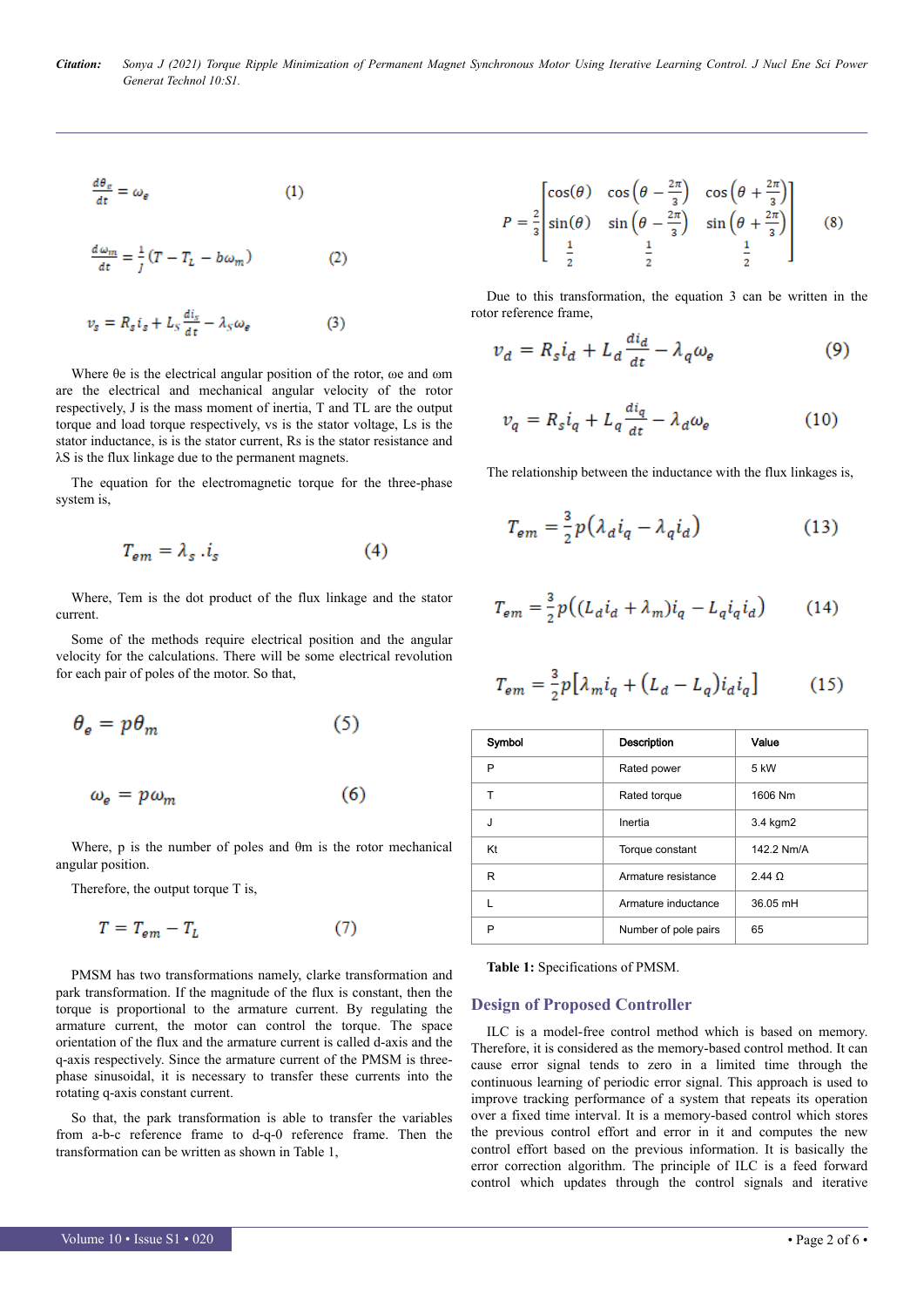*Citation: Sonya J (2021) Torque Ripple Minimization of Permanent Magnet Synchronous Motor Using Iterative Learning Control. J Nucl Ene Sci Power Generat Technol 10:S1.*

$$
\frac{d\theta_e}{dt} = \omega_e \tag{1}
$$

$$
\frac{d\omega_m}{dt} = \frac{1}{J}(T - T_L - b\omega_m)
$$
 (2)

$$
v_{s} = R_{s} i_{s} + L_{s} \frac{di_{s}}{dt} - \lambda_{s} \omega_{e}
$$
 (3)

Where θe is the electrical angular position of the rotor, ωe and ωm are the electrical and mechanical angular velocity of the rotor respectively, J is the mass moment of inertia, T and TL are the output torque and load torque respectively, vs is the stator voltage, Ls is the stator inductance, is is the stator current, Rs is the stator resistance and λS is the flux linkage due to the permanent magnets.

The equation for the electromagnetic torque for the three-phase system is,

$$
T_{em} = \lambda_s \cdot i_s \tag{4}
$$

Where, Tem is the dot product of the flux linkage and the stator current.

Some of the methods require electrical position and the angular velocity for the calculations. There will be some electrical revolution for each pair of poles of the motor. So that,

$$
\theta_e = p\theta_m \tag{5}
$$

$$
\omega_e = p\omega_m \tag{6}
$$

Where, p is the number of poles and θm is the rotor mechanical angular position.

Therefore, the output torque T is,

$$
T = T_{em} - T_L \tag{7}
$$

PMSM has two transformations namely, clarke transformation and park transformation. If the magnitude of the flux is constant, then the torque is proportional to the armature current. By regulating the armature current, the motor can control the torque. The space orientation of the flux and the armature current is called d-axis and the q-axis respectively. Since the armature current of the PMSM is threephase sinusoidal, it is necessary to transfer these currents into the rotating q-axis constant current.

So that, the park transformation is able to transfer the variables from a-b-c reference frame to d-q-0 reference frame. Then the transformation can be written as shown in Table 1,

$$
P = \frac{2}{3} \begin{bmatrix} \cos(\theta) & \cos\left(\theta - \frac{2\pi}{3}\right) & \cos\left(\theta + \frac{2\pi}{3}\right) \\ \sin(\theta) & \sin\left(\theta - \frac{2\pi}{3}\right) & \sin\left(\theta + \frac{2\pi}{3}\right) \\ \frac{1}{2} & \frac{1}{2} & \frac{1}{2} \end{bmatrix}
$$
 (8)

Due to this transformation, the equation 3 can be written in the rotor reference frame,

$$
v_d = R_s i_d + L_d \frac{di_d}{dt} - \lambda_q \omega_e \tag{9}
$$

$$
v_q = R_s i_q + L_q \frac{di_q}{dt} - \lambda_d \omega_e \tag{10}
$$

The relationship between the inductance with the flux linkages is,

$$
T_{em} = \frac{3}{2}p(\lambda_d i_q - \lambda_q i_d)
$$
 (13)

$$
T_{em} = \frac{3}{2}p\big((L_d i_d + \lambda_m)i_q - L_q i_q i_d\big) \tag{14}
$$

$$
T_{em} = \frac{3}{2}p\big[\lambda_m i_q + \big(L_d - L_q\big)i_d i_q\big] \tag{15}
$$

| Symbol | Description          | Value           |
|--------|----------------------|-----------------|
| P      | Rated power          | 5 kW            |
| т      | Rated torque         | 1606 Nm         |
| J      | Inertia              | 3.4 kgm2        |
| Kt     | Torque constant      | 142.2 Nm/A      |
| R      | Armature resistance  | $2.44$ $\Omega$ |
| L      | Armature inductance  | 36.05 mH        |
| P      | Number of pole pairs | 65              |
|        |                      |                 |

**Table 1:** Specifications of PMSM.

#### **Design of Proposed Controller**

ILC is a model-free control method which is based on memory. Therefore, it is considered as the memory-based control method. It can cause error signal tends to zero in a limited time through the continuous learning of periodic error signal. This approach is used to improve tracking performance of a system that repeats its operation over a fixed time interval. It is a memory-based control which stores the previous control effort and error in it and computes the new control effort based on the previous information. It is basically the error correction algorithm. The principle of ILC is a feed forward control which updates through the control signals and iterative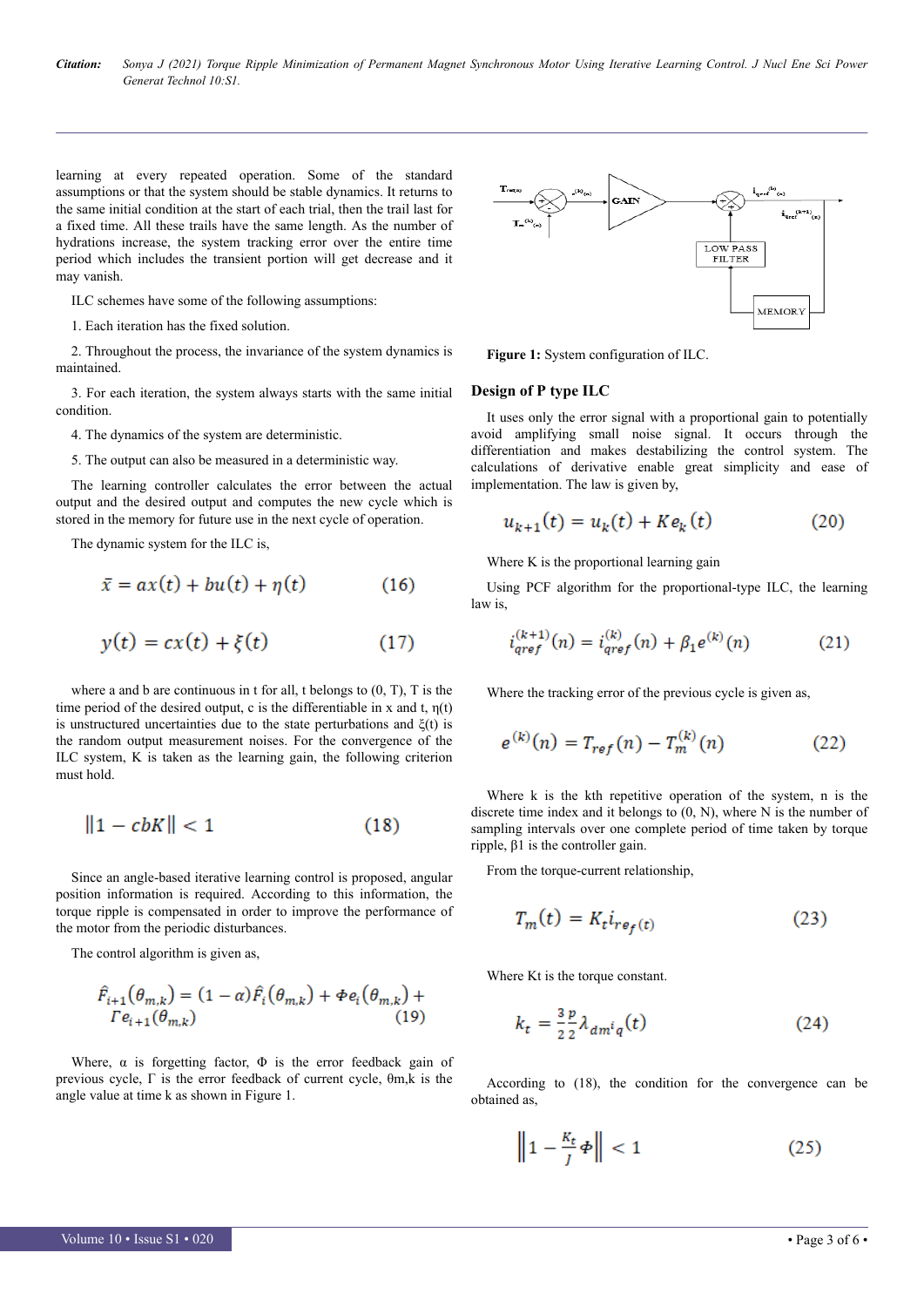*Citation: Sonya J (2021) Torque Ripple Minimization of Permanent Magnet Synchronous Motor Using Iterative Learning Control. J Nucl Ene Sci Power Generat Technol 10:S1.*

learning at every repeated operation. Some of the standard assumptions or that the system should be stable dynamics. It returns to the same initial condition at the start of each trial, then the trail last for a fixed time. All these trails have the same length. As the number of hydrations increase, the system tracking error over the entire time period which includes the transient portion will get decrease and it may vanish.

ILC schemes have some of the following assumptions:

1. Each iteration has the fixed solution.

2. Throughout the process, the invariance of the system dynamics is maintained.

3. For each iteration, the system always starts with the same initial condition.

4. The dynamics of the system are deterministic.

5. The output can also be measured in a deterministic way.

The learning controller calculates the error between the actual output and the desired output and computes the new cycle which is stored in the memory for future use in the next cycle of operation.

The dynamic system for the ILC is,

$$
\bar{x} = ax(t) + bu(t) + \eta(t) \tag{16}
$$

$$
y(t) = cx(t) + \xi(t) \tag{17}
$$

where a and b are continuous in t for all, t belongs to (0, T), T is the time period of the desired output, c is the differentiable in x and t,  $\eta(t)$ is unstructured uncertainties due to the state perturbations and  $\xi(t)$  is the random output measurement noises. For the convergence of the ILC system, K is taken as the learning gain, the following criterion must hold.

$$
||1 - cbK|| < 1 \tag{18}
$$

Since an angle-based iterative learning control is proposed, angular position information is required. According to this information, the torque ripple is compensated in order to improve the performance of the motor from the periodic disturbances.

The control algorithm is given as,

$$
\hat{F}_{i+1}(\theta_{m,k}) = (1 - \alpha)\hat{F}_i(\theta_{m,k}) + \Phi e_i(\theta_{m,k}) +
$$
  
\n
$$
\Gamma e_{i+1}(\theta_{m,k})
$$
\n(19)

Where,  $\alpha$  is forgetting factor,  $\Phi$  is the error feedback gain of previous cycle, Γ is the error feedback of current cycle, θm,k is the angle value at time k as shown in Figure 1.



**Figure 1:** System configuration of ILC.

#### **Design of P type ILC**

It uses only the error signal with a proportional gain to potentially avoid amplifying small noise signal. It occurs through the differentiation and makes destabilizing the control system. The calculations of derivative enable great simplicity and ease of implementation. The law is given by,

$$
u_{k+1}(t) = u_k(t) + Ke_k(t)
$$
 (20)

Where K is the proportional learning gain

Using PCF algorithm for the proportional-type ILC, the learning law is,

$$
i_{qref}^{(k+1)}(n) = i_{qref}^{(k)}(n) + \beta_1 e^{(k)}(n) \tag{21}
$$

Where the tracking error of the previous cycle is given as,

$$
e^{(k)}(n) = T_{ref}(n) - T_m^{(k)}(n)
$$
 (22)

Where k is the kth repetitive operation of the system, n is the discrete time index and it belongs to  $(0, N)$ , where N is the number of sampling intervals over one complete period of time taken by torque ripple, β1 is the controller gain.

From the torque-current relationship,

$$
T_m(t) = K_t i_{re_f(t)}
$$
\n(23)

Where Kt is the torque constant.

$$
k_t = \frac{3}{2} \frac{p}{2} \lambda_{dm^i q}(t) \tag{24}
$$

According to (18), the condition for the convergence can be obtained as,

$$
\left\|1 - \frac{K_t}{J}\phi\right\| < 1\tag{25}
$$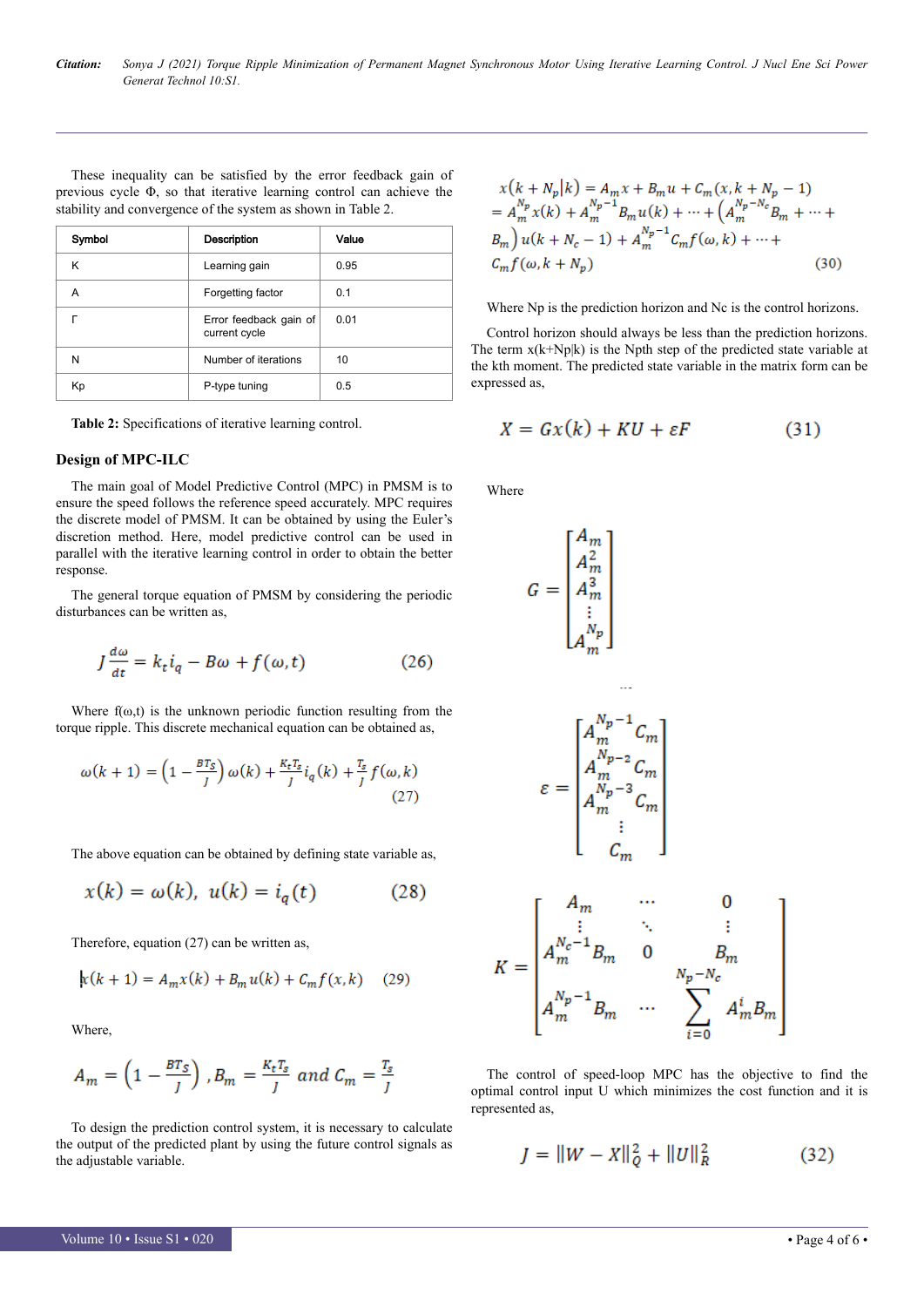These inequality can be satisfied by the error feedback gain of previous cycle Φ, so that iterative learning control can achieve the stability and convergence of the system as shown in Table 2.

| Symbol | <b>Description</b>                      | Value |
|--------|-----------------------------------------|-------|
| κ      | Learning gain                           | 0.95  |
| А      | Forgetting factor                       | 0.1   |
|        | Error feedback gain of<br>current cycle | 0.01  |
| N      | Number of iterations                    | 10    |
| Кp     | P-type tuning                           | 0.5   |

**Table 2:** Specifications of iterative learning control.

#### **Design of MPC-ILC**

The main goal of Model Predictive Control (MPC) in PMSM is to ensure the speed follows the reference speed accurately. MPC requires the discrete model of PMSM. It can be obtained by using the Euler's discretion method. Here, model predictive control can be used in parallel with the iterative learning control in order to obtain the better response.

The general torque equation of PMSM by considering the periodic disturbances can be written as,

$$
J\frac{d\omega}{dt} = k_t i_q - B\omega + f(\omega, t)
$$
 (26)

Where  $f(\omega, t)$  is the unknown periodic function resulting from the torque ripple. This discrete mechanical equation can be obtained as,

$$
\omega(k+1) = \left(1 - \frac{BT_S}{J}\right)\omega(k) + \frac{K_t T_S}{J}i_q(k) + \frac{T_S}{J}f(\omega, k)
$$
\n(27)

The above equation can be obtained by defining state variable as,

$$
x(k) = \omega(k), \ u(k) = i_q(t) \tag{28}
$$

Therefore, equation (27) can be written as,

$$
k(k + 1) = A_m x(k) + B_m u(k) + C_m f(x, k) \quad (29)
$$

Where,

$$
A_m = \left(1 - \frac{BT_S}{J}\right), B_m = \frac{K_t T_s}{J} \text{ and } C_m = \frac{T_s}{J}
$$

To design the prediction control system, it is necessary to calculate the output of the predicted plant by using the future control signals as the adjustable variable.

$$
x(k+N_p|k) = A_m x + B_m u + C_m(x, k+N_p - 1)
$$
  
=  $A_m^{N_p} x(k) + A_m^{N_p-1} B_m u(k) + \dots + (A_m^{N_p - N_c} B_m + \dots + B_m) u(k+N_c - 1) + A_m^{N_p-1} C_m f(\omega, k) + \dots + C_m f(\omega, k+N_p)$  (30)

Where Np is the prediction horizon and Nc is the control horizons.

Control horizon should always be less than the prediction horizons. The term  $x(k+Np|k)$  is the Npth step of the predicted state variable at the kth moment. The predicted state variable in the matrix form can be expressed as,

$$
X = Gx(k) + KU + \varepsilon F \tag{31}
$$

Where

$$
G = \begin{bmatrix} A_m \\ A_m^2 \\ \vdots \\ A_m^{N_p} \end{bmatrix}
$$
  
\n
$$
\varepsilon = \begin{bmatrix} A_m^{N_p - 1} C_m \\ A_m^{N_p - 2} C_m \\ A_m^{N_p - 3} C_m \\ \vdots \\ A_m^{N_p - 3} C_m \end{bmatrix}
$$
  
\n
$$
K = \begin{bmatrix} A_m & \cdots & 0 \\ A_m^{N_c - 1} B_m & 0 & B_m \\ \vdots & \ddots & \vdots \\ A_m^{N_c - 1} B_m & 0 & B_m \\ A_m^{N_p - 1} B_m & \cdots & \sum_{i=0}^{N_p - N_c} A_m^i B_m \end{bmatrix}
$$

The control of speed-loop MPC has the objective to find the optimal control input U which minimizes the cost function and it is represented as,

$$
J = ||W - X||_Q^2 + ||U||_R^2 \tag{32}
$$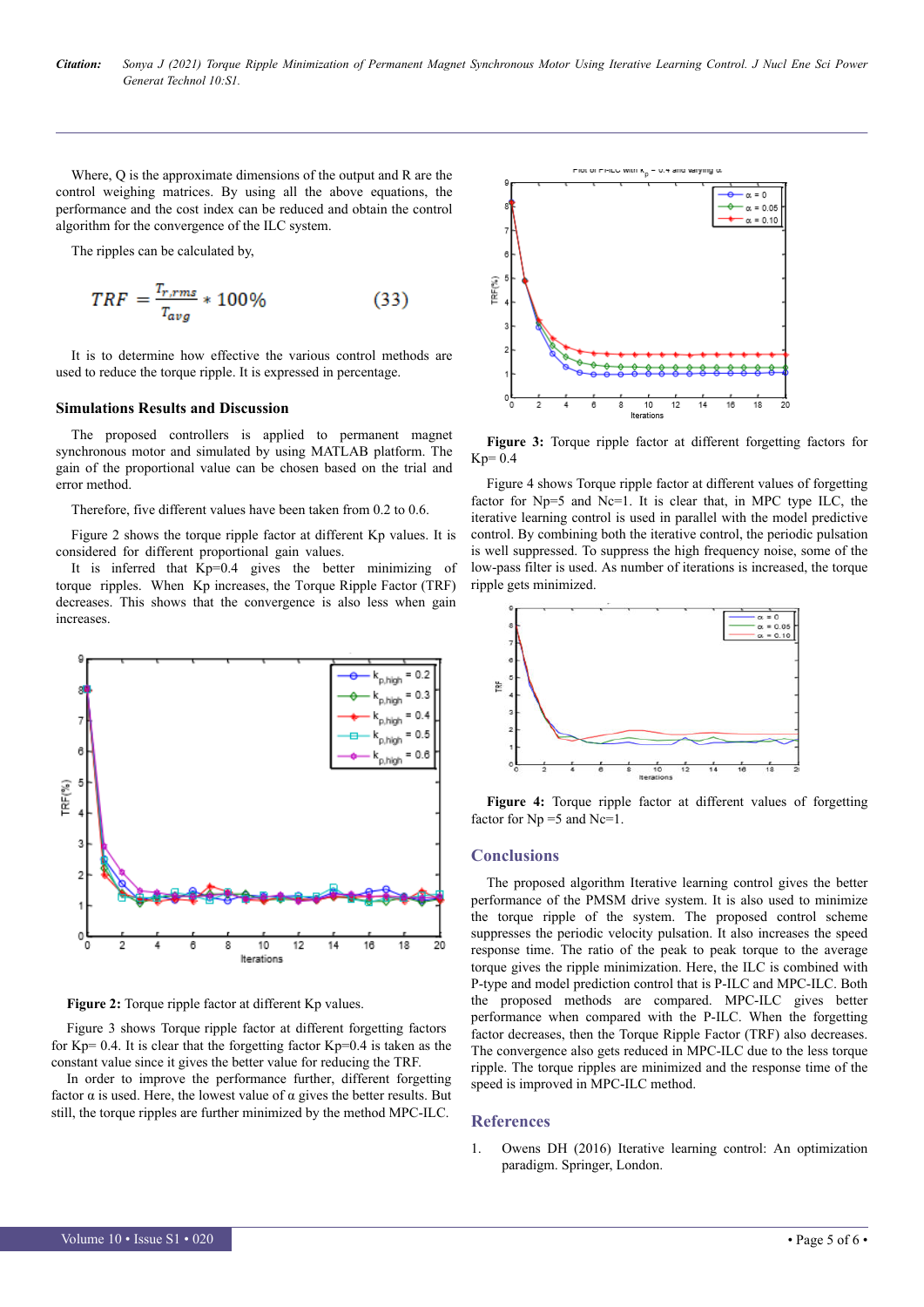Where, Q is the approximate dimensions of the output and R are the control weighing matrices. By using all the above equations, the performance and the cost index can be reduced and obtain the control algorithm for the convergence of the ILC system.

The ripples can be calculated by,

$$
TRF = \frac{T_{r,rms}}{T_{avg}} * 100\%
$$
 (33)

It is to determine how effective the various control methods are used to reduce the torque ripple. It is expressed in percentage.

#### **Simulations Results and Discussion**

The proposed controllers is applied to permanent magnet synchronous motor and simulated by using MATLAB platform. The gain of the proportional value can be chosen based on the trial and error method.

Therefore, five different values have been taken from 0.2 to 0.6.

Figure 2 shows the torque ripple factor at different Kp values. It is considered for different proportional gain values.

It is inferred that Kp=0.4 gives the better minimizing of torque ripples. When Kp increases, the Torque Ripple Factor (TRF) decreases. This shows that the convergence is also less when gain increases.



Figure 2: Torque ripple factor at different Kp values.

Figure 3 shows Torque ripple factor at different forgetting factors for  $Kp= 0.4$ . It is clear that the forgetting factor  $Kp=0.4$  is taken as the constant value since it gives the better value for reducing the TRF.

In order to improve the performance further, different forgetting factor  $\alpha$  is used. Here, the lowest value of  $\alpha$  gives the better results. But still, the torque ripples are further minimized by the method MPC-ILC.



**Figure 3:** Torque ripple factor at different forgetting factors for  $Kp=0.4$ 

Figure 4 shows Torque ripple factor at different values of forgetting factor for Np=5 and Nc=1. It is clear that, in MPC type ILC, the iterative learning control is used in parallel with the model predictive control. By combining both the iterative control, the periodic pulsation is well suppressed. To suppress the high frequency noise, some of the low-pass filter is used. As number of iterations is increased, the torque ripple gets minimized.



**Figure 4:** Torque ripple factor at different values of forgetting factor for  $Np = 5$  and  $Nc=1$ .

#### **Conclusions**

The proposed algorithm Iterative learning control gives the better performance of the PMSM drive system. It is also used to minimize the torque ripple of the system. The proposed control scheme suppresses the periodic velocity pulsation. It also increases the speed response time. The ratio of the peak to peak torque to the average torque gives the ripple minimization. Here, the ILC is combined with P-type and model prediction control that is P-ILC and MPC-ILC. Both the proposed methods are compared. MPC-ILC gives better performance when compared with the P-ILC. When the forgetting factor decreases, then the Torque Ripple Factor (TRF) also decreases. The convergence also gets reduced in MPC-ILC due to the less torque ripple. The torque ripples are minimized and the response time of the speed is improved in MPC-ILC method.

#### **References**

1. [Owens DH \(2016\) Iterative learning control: An optimization](https://link.springer.com/book/10.1007/978-1-4471-6772-3) [paradigm. Springer, London.](https://link.springer.com/book/10.1007/978-1-4471-6772-3)